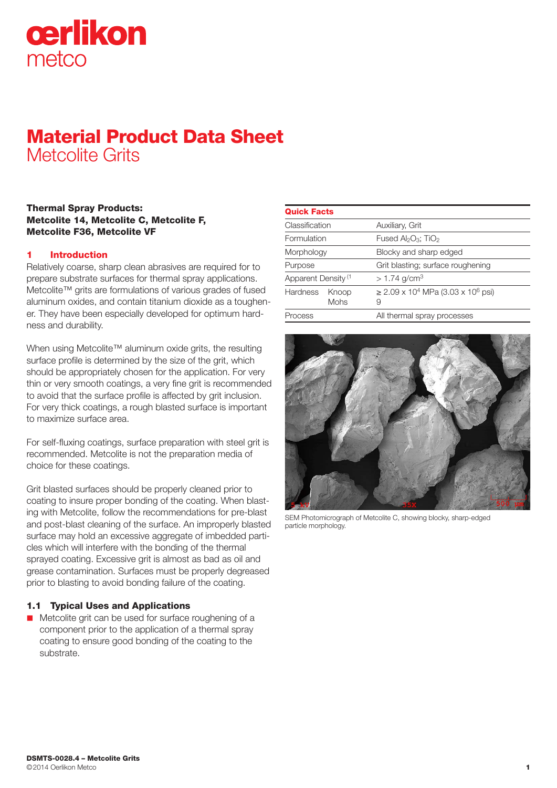

# Material Product Data Sheet Metcolite Grits

#### Thermal Spray Products: Metcolite 14, Metcolite C, Metcolite F, Metcolite F36, Metcolite VF

### 1 Introduction

Relatively coarse, sharp clean abrasives are required for to prepare substrate surfaces for thermal spray applications. Metcolite™ grits are formulations of various grades of fused aluminum oxides, and contain titanium dioxide as a toughener. They have been especially developed for optimum hardness and durability.

When using Metcolite™ aluminum oxide grits, the resulting surface profile is determined by the size of the grit, which should be appropriately chosen for the application. For very thin or very smooth coatings, a very fine grit is recommended to avoid that the surface profile is affected by grit inclusion. For very thick coatings, a rough blasted surface is important to maximize surface area.

For self-fluxing coatings, surface preparation with steel grit is recommended. Metcolite is not the preparation media of choice for these coatings.

Grit blasted surfaces should be properly cleaned prior to coating to insure proper bonding of the coating. When blasting with Metcolite, follow the recommendations for pre-blast and post-blast cleaning of the surface. An improperly blasted surface may hold an excessive aggregate of imbedded particles which will interfere with the bonding of the thermal sprayed coating. Excessive grit is almost as bad as oil and grease contamination. Surfaces must be properly degreased prior to blasting to avoid bonding failure of the coating.

### 1.1 Typical Uses and Applications

 $\blacksquare$  Metcolite grit can be used for surface roughening of a component prior to the application of a thermal spray coating to ensure good bonding of the coating to the substrate.

| <b>Quick Facts</b>             |                      |                                                                     |
|--------------------------------|----------------------|---------------------------------------------------------------------|
| Classification                 |                      | Auxiliary, Grit                                                     |
| Formulation                    |                      | Fused $Al_2O_3$ ; TiO <sub>2</sub>                                  |
| Morphology                     |                      | Blocky and sharp edged                                              |
| Purpose                        |                      | Grit blasting; surface roughening                                   |
| Apparent Density <sup>(1</sup> |                      | $> 1.74$ g/cm <sup>3</sup>                                          |
| <b>Hardness</b>                | Knoop<br><b>Mohs</b> | $\geq$ 2.09 x 10 <sup>4</sup> MPa (3.03 x 10 <sup>6</sup> psi)<br>9 |
| Process                        |                      | All thermal spray processes                                         |



SEM Photomicrograph of Metcolite C, showing blocky, sharp-edged particle morphology.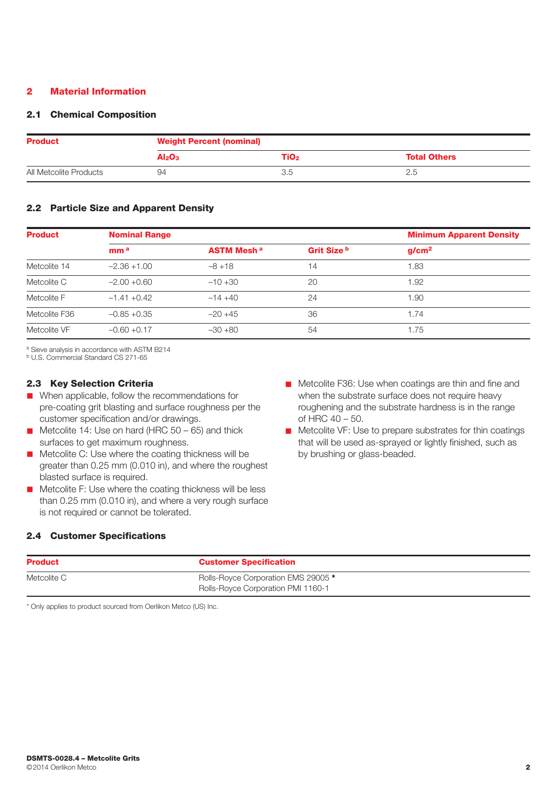#### 2 Material Information

#### 2.1 Chemical Composition

| <b>Product</b>         | <b>Weight Percent (nominal)</b> |      |                     |
|------------------------|---------------------------------|------|---------------------|
|                        | Al <sub>2</sub> O <sub>3</sub>  | TiO2 | <b>Total Others</b> |
| All Metcolite Products | 94                              |      | 2.5                 |

#### 2.2 Particle Size and Apparent Density

| <b>Product</b> | <b>Nominal Range</b> |                              |             | <b>Minimum Apparent Density</b> |
|----------------|----------------------|------------------------------|-------------|---------------------------------|
|                | mm <sup>a</sup>      | <b>ASTM Mesh<sup>a</sup></b> | Grit Size b | g/cm <sup>2</sup>               |
| Metcolite 14   | $-2.36 + 1.00$       | $-8 + 18$                    | 14          | 1.83                            |
| Metcolite C    | $-2.00 + 0.60$       | $-10+30$                     | 20          | 1.92                            |
| Metcolite F    | $-1.41 + 0.42$       | $-14+40$                     | 24          | 1.90                            |
| Metcolite F36  | $-0.85 + 0.35$       | $-20+45$                     | 36          | 1.74                            |
| Metcolite VF   | $-0.60 + 0.17$       | $-30+80$                     | 54          | 1.75                            |

a Sieve analysis in accordance with ASTM B214

b U.S. Commercial Standard CS 271-65

#### 2.3 Key Selection Criteria

- $\blacksquare$  When applicable, follow the recommendations for pre-coating grit blasting and surface roughness per the customer specification and/or drawings.
- $\blacksquare$  Metcolite 14: Use on hard (HRC 50 65) and thick surfaces to get maximum roughness.
- $\blacksquare$  Metcolite C: Use where the coating thickness will be greater than 0.25 mm (0.010 in), and where the roughest blasted surface is required.
- $\blacksquare$  Metcolite F: Use where the coating thickness will be less than 0.25 mm (0.010 in), and where a very rough surface is not required or cannot be tolerated.
- **n** Metcolite F36: Use when coatings are thin and fine and when the substrate surface does not require heavy roughening and the substrate hardness is in the range of HRC 40 – 50.
- $\blacksquare$  Metcolite VF: Use to prepare substrates for thin coatings that will be used as-sprayed or lightly finished, such as by brushing or glass-beaded.

#### 2.4 Customer Specifications

| <b>Product</b> | <b>Customer Specification</b>             |
|----------------|-------------------------------------------|
| Metcolite C    | Rolls-Royce Corporation EMS 29005 *       |
|                | <b>Rolls-Royce Corporation PMI 1160-1</b> |

\* Only applies to product sourced from Oerlikon Metco (US) Inc.